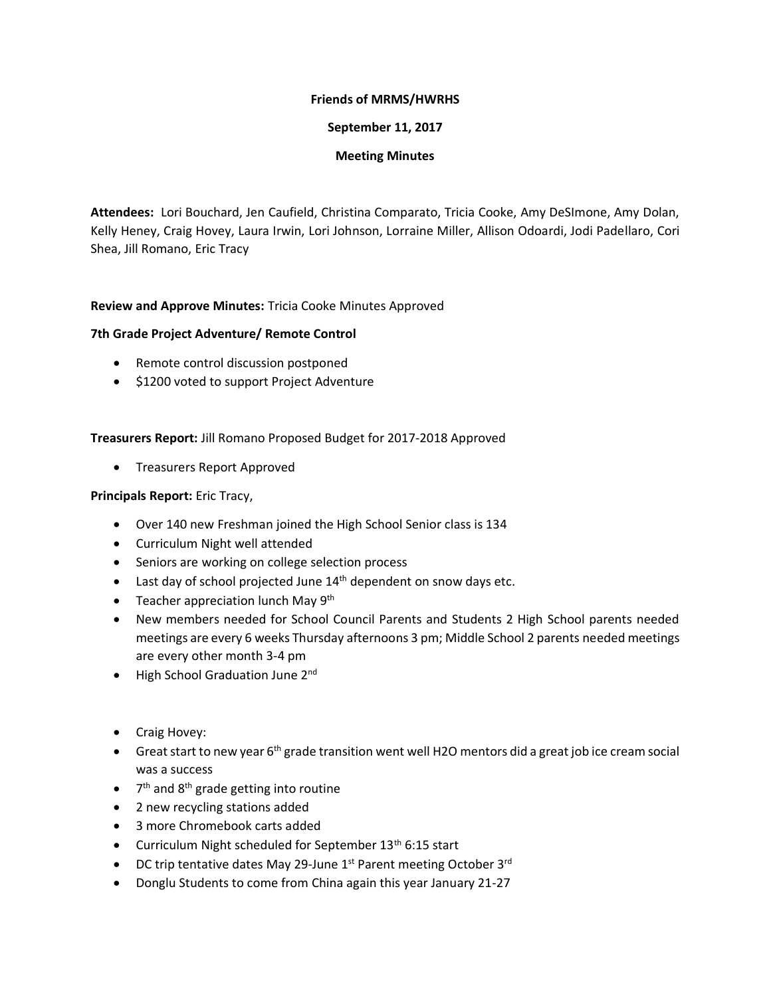#### **Friends of MRMS/HWRHS**

### **September 11, 2017**

# **Meeting Minutes**

**Attendees:** Lori Bouchard, Jen Caufield, Christina Comparato, Tricia Cooke, Amy DeSImone, Amy Dolan, Kelly Heney, Craig Hovey, Laura Irwin, Lori Johnson, Lorraine Miller, Allison Odoardi, Jodi Padellaro, Cori Shea, Jill Romano, Eric Tracy

# **Review and Approve Minutes:** Tricia Cooke Minutes Approved

# **7th Grade Project Adventure/ Remote Control**

- Remote control discussion postponed
- \$1200 voted to support Project Adventure

#### **Treasurers Report:** Jill Romano Proposed Budget for 2017-2018 Approved

• Treasurers Report Approved

# **Principals Report:** Eric Tracy,

- Over 140 new Freshman joined the High School Senior class is 134
- Curriculum Night well attended
- Seniors are working on college selection process
- $\bullet$  Last day of school projected June  $14<sup>th</sup>$  dependent on snow days etc.
- Teacher appreciation lunch May 9<sup>th</sup>
- New members needed for School Council Parents and Students 2 High School parents needed meetings are every 6 weeks Thursday afternoons 3 pm; Middle School 2 parents needed meetings are every other month 3-4 pm
- High School Graduation June 2<sup>nd</sup>
- Craig Hovey:
- Great start to new year  $6<sup>th</sup>$  grade transition went well H2O mentors did a great job ice cream social was a success
- 7<sup>th</sup> and 8<sup>th</sup> grade getting into routine
- 2 new recycling stations added
- 3 more Chromebook carts added
- Curriculum Night scheduled for September 13<sup>th</sup> 6:15 start
- DC trip tentative dates May 29-June 1st Parent meeting October 3rd
- Donglu Students to come from China again this year January 21-27